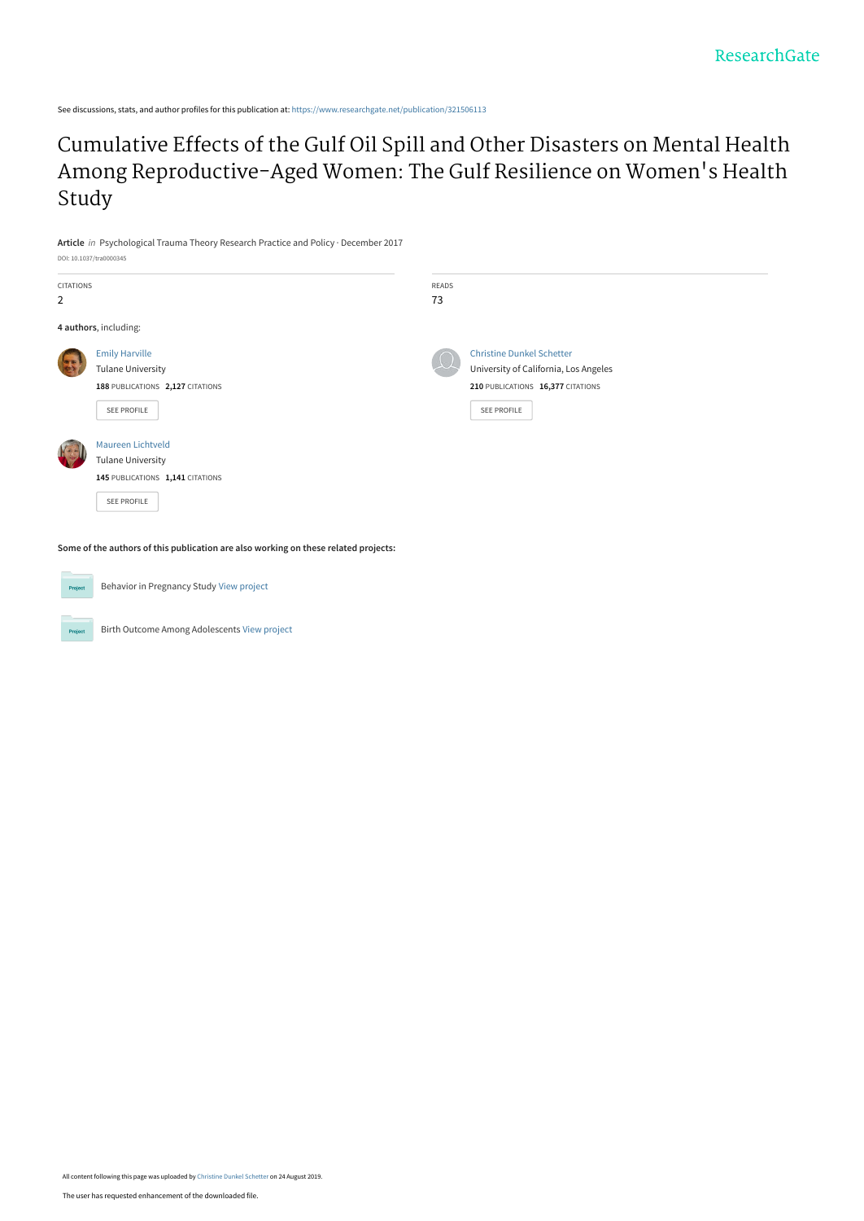See discussions, stats, and author profiles for this publication at: [https://www.researchgate.net/publication/321506113](https://www.researchgate.net/publication/321506113_Cumulative_Effects_of_the_Gulf_Oil_Spill_and_Other_Disasters_on_Mental_Health_Among_Reproductive-Aged_Women_The_Gulf_Resilience_on_Women%27s_Health_Study?enrichId=rgreq-6a2ba08173f87f6d79c9d9e12abf42aa-XXX&enrichSource=Y292ZXJQYWdlOzMyMTUwNjExMztBUzo3OTU0MzM5MzI2ODk0MTdAMTU2NjY1NzYzNjE1NQ%3D%3D&el=1_x_2&_esc=publicationCoverPdf)

[Cumulative Effects of the Gulf Oil Spill and Other Disasters on Mental Health](https://www.researchgate.net/publication/321506113_Cumulative_Effects_of_the_Gulf_Oil_Spill_and_Other_Disasters_on_Mental_Health_Among_Reproductive-Aged_Women_The_Gulf_Resilience_on_Women%27s_Health_Study?enrichId=rgreq-6a2ba08173f87f6d79c9d9e12abf42aa-XXX&enrichSource=Y292ZXJQYWdlOzMyMTUwNjExMztBUzo3OTU0MzM5MzI2ODk0MTdAMTU2NjY1NzYzNjE1NQ%3D%3D&el=1_x_3&_esc=publicationCoverPdf) Among Reproductive-Aged Women: The Gulf Resilience on Women's Health Study

**Article** in Psychological Trauma Theory Research Practice and Policy · December 2017 DOI: 10.1037/tra0000345

| <b>CITATIONS</b><br>$\overline{2}$ |                                                                                                      | READS<br>73 |                                                                                                                               |
|------------------------------------|------------------------------------------------------------------------------------------------------|-------------|-------------------------------------------------------------------------------------------------------------------------------|
|                                    | 4 authors, including:                                                                                |             |                                                                                                                               |
|                                    | <b>Emily Harville</b><br><b>Tulane University</b><br>188 PUBLICATIONS 2,127 CITATIONS<br>SEE PROFILE |             | <b>Christine Dunkel Schetter</b><br>University of California, Los Angeles<br>210 PUBLICATIONS 16,377 CITATIONS<br>SEE PROFILE |
|                                    | Maureen Lichtveld<br><b>Tulane University</b><br>145 PUBLICATIONS 1,141 CITATIONS<br>SEE PROFILE     |             |                                                                                                                               |

**Some of the authors of this publication are also working on these related projects:**



Behavior in Pregnancy Study [View project](https://www.researchgate.net/project/Behavior-in-Pregnancy-Study?enrichId=rgreq-6a2ba08173f87f6d79c9d9e12abf42aa-XXX&enrichSource=Y292ZXJQYWdlOzMyMTUwNjExMztBUzo3OTU0MzM5MzI2ODk0MTdAMTU2NjY1NzYzNjE1NQ%3D%3D&el=1_x_9&_esc=publicationCoverPdf)

Birth Outcome Among Adolescents [View project](https://www.researchgate.net/project/Birth-Outcome-Among-Adolescents?enrichId=rgreq-6a2ba08173f87f6d79c9d9e12abf42aa-XXX&enrichSource=Y292ZXJQYWdlOzMyMTUwNjExMztBUzo3OTU0MzM5MzI2ODk0MTdAMTU2NjY1NzYzNjE1NQ%3D%3D&el=1_x_9&_esc=publicationCoverPdf)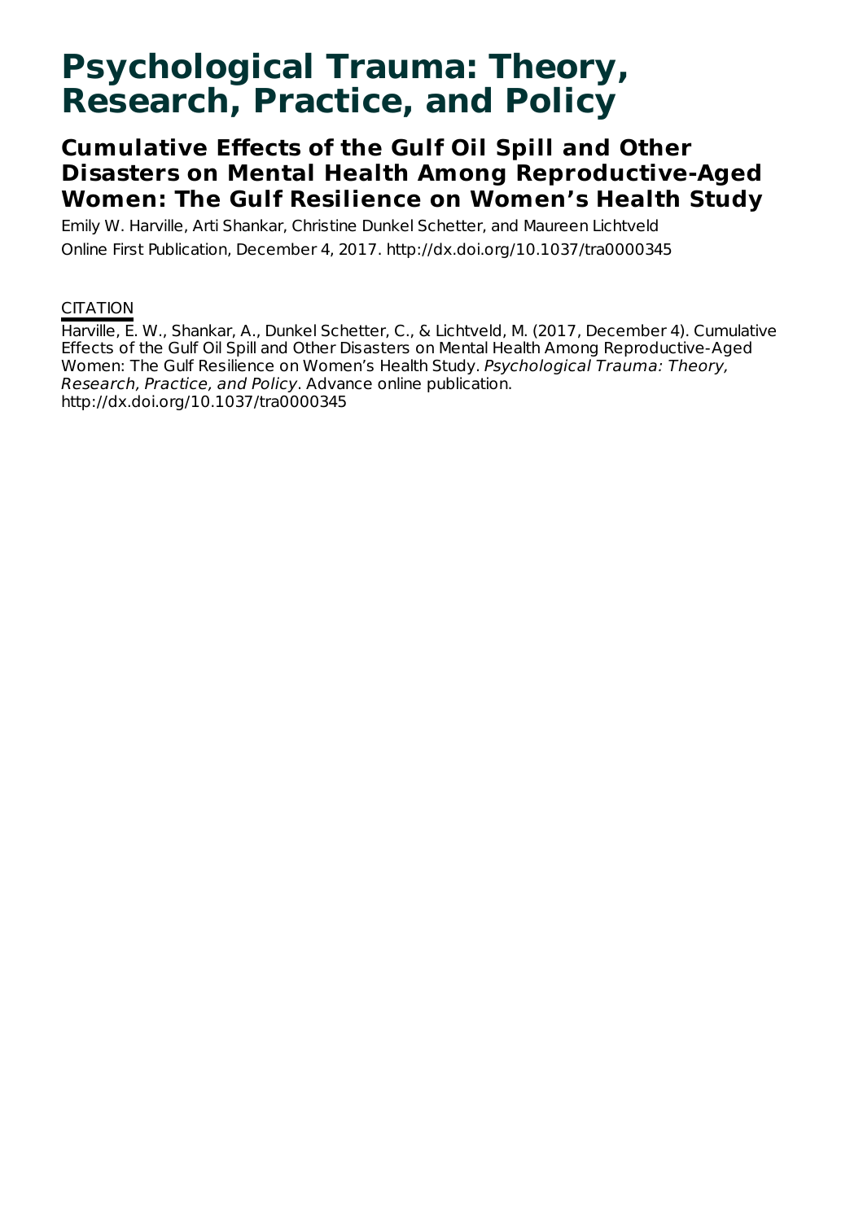# **Psychological Trauma: Theory, Research, Practice, and Policy**

# **Cumulative Effects of the Gulf Oil Spill and Other Disasters on Mental Health Among Reproductive-Aged Women: The Gulf Resilience on Women's Health Study**

Emily W. Harville, Arti Shankar, Christine Dunkel Schetter, and Maureen Lichtveld Online First Publication, December 4, 2017. http://dx.doi.org/10.1037/tra0000345

### **CITATION**

Harville, E. W., Shankar, A., Dunkel Schetter, C., & Lichtveld, M. (2017, December 4). Cumulative Effects of the Gulf Oil Spill and Other Disasters on Mental Health Among Reproductive-Aged Women: The Gulf Resilience on Women's Health Study. Psychological Trauma: Theory, Research, Practice, and Policy. Advance online publication. http://dx.doi.org/10.1037/tra0000345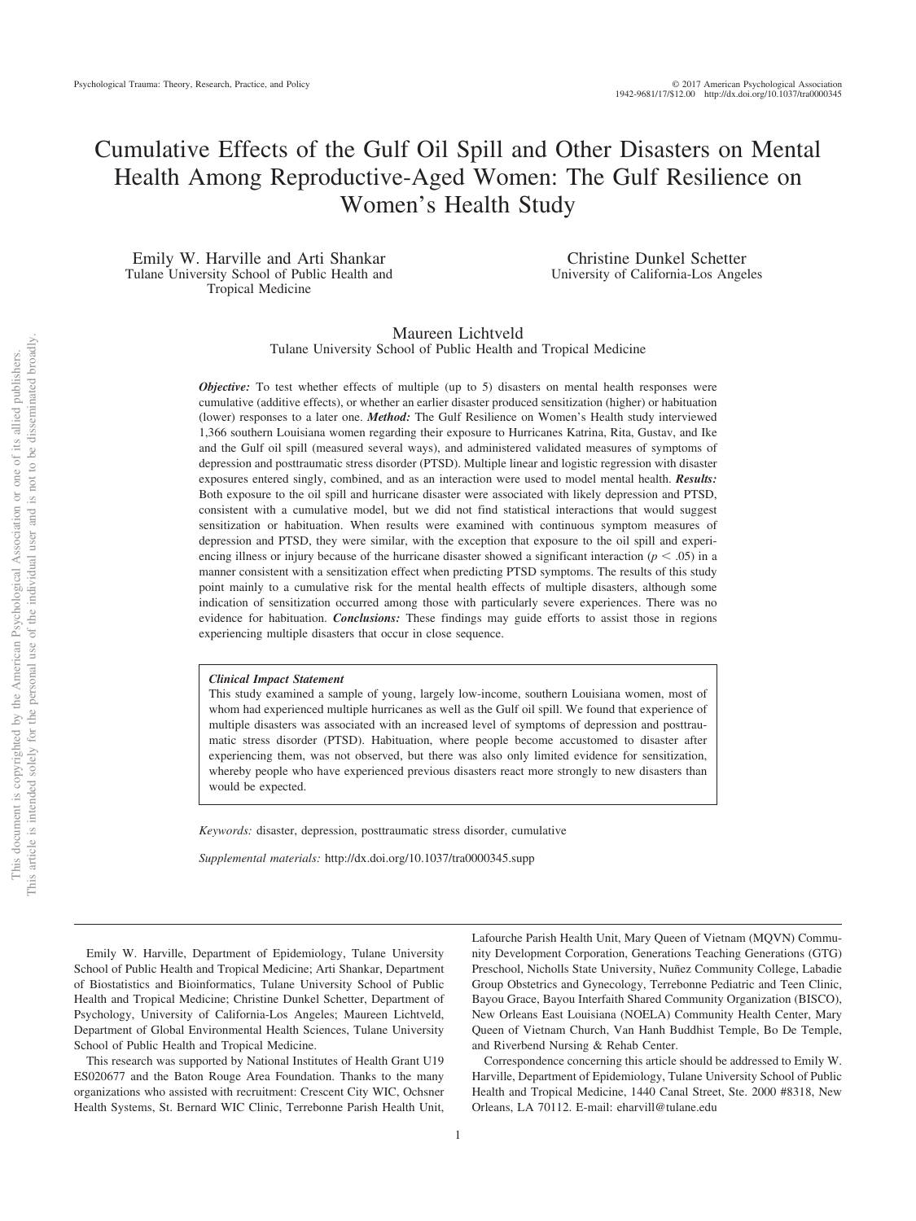## Cumulative Effects of the Gulf Oil Spill and Other Disasters on Mental Health Among Reproductive-Aged Women: The Gulf Resilience on Women's Health Study

Emily W. Harville and Arti Shankar Tulane University School of Public Health and Tropical Medicine

Christine Dunkel Schetter University of California-Los Angeles

#### Maureen Lichtveld Tulane University School of Public Health and Tropical Medicine

*Objective:* To test whether effects of multiple (up to 5) disasters on mental health responses were cumulative (additive effects), or whether an earlier disaster produced sensitization (higher) or habituation (lower) responses to a later one. *Method:* The Gulf Resilience on Women's Health study interviewed 1,366 southern Louisiana women regarding their exposure to Hurricanes Katrina, Rita, Gustav, and Ike and the Gulf oil spill (measured several ways), and administered validated measures of symptoms of depression and posttraumatic stress disorder (PTSD). Multiple linear and logistic regression with disaster exposures entered singly, combined, and as an interaction were used to model mental health. *Results:* Both exposure to the oil spill and hurricane disaster were associated with likely depression and PTSD, consistent with a cumulative model, but we did not find statistical interactions that would suggest sensitization or habituation. When results were examined with continuous symptom measures of depression and PTSD, they were similar, with the exception that exposure to the oil spill and experiencing illness or injury because of the hurricane disaster showed a significant interaction  $(p < .05)$  in a manner consistent with a sensitization effect when predicting PTSD symptoms. The results of this study point mainly to a cumulative risk for the mental health effects of multiple disasters, although some indication of sensitization occurred among those with particularly severe experiences. There was no evidence for habituation. *Conclusions:* These findings may guide efforts to assist those in regions experiencing multiple disasters that occur in close sequence.

#### *Clinical Impact Statement*

This study examined a sample of young, largely low-income, southern Louisiana women, most of whom had experienced multiple hurricanes as well as the Gulf oil spill. We found that experience of multiple disasters was associated with an increased level of symptoms of depression and posttraumatic stress disorder (PTSD). Habituation, where people become accustomed to disaster after experiencing them, was not observed, but there was also only limited evidence for sensitization, whereby people who have experienced previous disasters react more strongly to new disasters than would be expected.

*Keywords:* disaster, depression, posttraumatic stress disorder, cumulative

*Supplemental materials:* http://dx.doi.org/10.1037/tra0000345.supp

Emily W. Harville, Department of Epidemiology, Tulane University School of Public Health and Tropical Medicine; Arti Shankar, Department of Biostatistics and Bioinformatics, Tulane University School of Public Health and Tropical Medicine; Christine Dunkel Schetter, Department of Psychology, University of California-Los Angeles; Maureen Lichtveld, Department of Global Environmental Health Sciences, Tulane University School of Public Health and Tropical Medicine.

This research was supported by National Institutes of Health Grant U19 ES020677 and the Baton Rouge Area Foundation. Thanks to the many organizations who assisted with recruitment: Crescent City WIC, Ochsner Health Systems, St. Bernard WIC Clinic, Terrebonne Parish Health Unit, Lafourche Parish Health Unit, Mary Queen of Vietnam (MQVN) Community Development Corporation, Generations Teaching Generations (GTG) Preschool, Nicholls State University, Nuñez Community College, Labadie Group Obstetrics and Gynecology, Terrebonne Pediatric and Teen Clinic, Bayou Grace, Bayou Interfaith Shared Community Organization (BISCO), New Orleans East Louisiana (NOELA) Community Health Center, Mary Queen of Vietnam Church, Van Hanh Buddhist Temple, Bo De Temple, and Riverbend Nursing & Rehab Center.

Correspondence concerning this article should be addressed to Emily W. Harville, Department of Epidemiology, Tulane University School of Public Health and Tropical Medicine, 1440 Canal Street, Ste. 2000 #8318, New Orleans, LA 70112. E-mail: [eharvill@tulane.edu](mailto:eharvill@tulane.edu)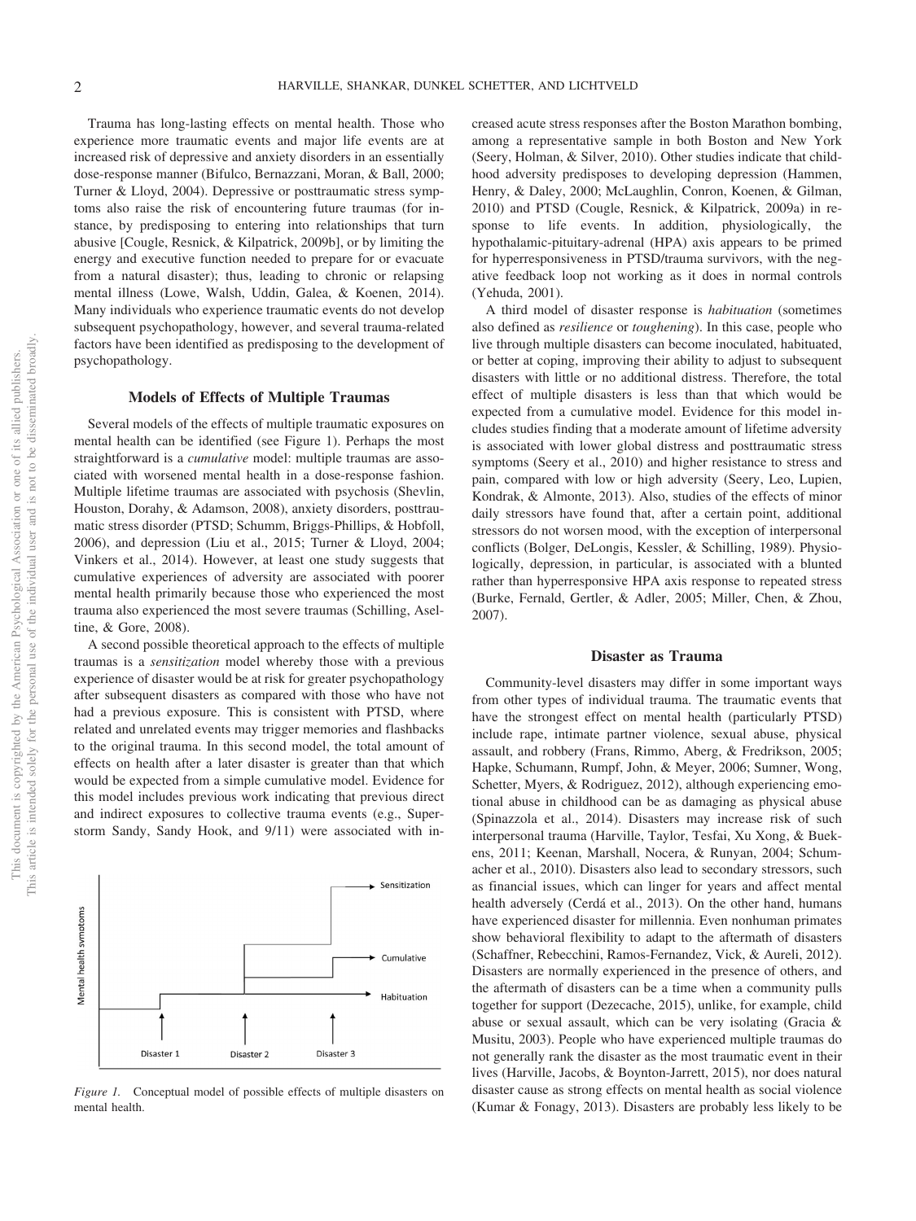Trauma has long-lasting effects on mental health. Those who experience more traumatic events and major life events are at increased risk of depressive and anxiety disorders in an essentially dose-response manner (Bifulco, Bernazzani, Moran, & Ball, 2000; Turner & Lloyd, 2004). Depressive or posttraumatic stress symptoms also raise the risk of encountering future traumas (for instance, by predisposing to entering into relationships that turn abusive [Cougle, Resnick, & Kilpatrick, 2009b], or by limiting the energy and executive function needed to prepare for or evacuate from a natural disaster); thus, leading to chronic or relapsing mental illness (Lowe, Walsh, Uddin, Galea, & Koenen, 2014). Many individuals who experience traumatic events do not develop subsequent psychopathology, however, and several trauma-related factors have been identified as predisposing to the development of psychopathology.

#### **Models of Effects of Multiple Traumas**

Several models of the effects of multiple traumatic exposures on mental health can be identified (see [Figure 1\)](#page-3-0). Perhaps the most straightforward is a *cumulative* model: multiple traumas are associated with worsened mental health in a dose-response fashion. Multiple lifetime traumas are associated with psychosis (Shevlin, Houston, Dorahy, & Adamson, 2008), anxiety disorders, posttraumatic stress disorder (PTSD; Schumm, Briggs-Phillips, & Hobfoll, 2006), and depression (Liu et al., 2015; Turner & Lloyd, 2004; [Vinkers et al., 2014\)](#page-10-0). However, at least one study suggests that cumulative experiences of adversity are associated with poorer mental health primarily because those who experienced the most trauma also experienced the most severe traumas (Schilling, Aseltine, & Gore, 2008).

A second possible theoretical approach to the effects of multiple traumas is a *sensitization* model whereby those with a previous experience of disaster would be at risk for greater psychopathology after subsequent disasters as compared with those who have not had a previous exposure. This is consistent with PTSD, where related and unrelated events may trigger memories and flashbacks to the original trauma. In this second model, the total amount of effects on health after a later disaster is greater than that which would be expected from a simple cumulative model. Evidence for this model includes previous work indicating that previous direct and indirect exposures to collective trauma events (e.g., Superstorm Sandy, Sandy Hook, and 9/11) were associated with in-



<span id="page-3-0"></span>*Figure 1.* Conceptual model of possible effects of multiple disasters on mental health.

creased acute stress responses after the Boston Marathon bombing, among a representative sample in both Boston and New York (Seery, Holman, & Silver, 2010). Other studies indicate that childhood adversity predisposes to developing depression (Hammen, Henry, & Daley, 2000; McLaughlin, Conron, Koenen, & Gilman, 2010) and PTSD (Cougle, Resnick, & Kilpatrick, 2009a) in response to life events. In addition, physiologically, the hypothalamic-pituitary-adrenal (HPA) axis appears to be primed for hyperresponsiveness in PTSD/trauma survivors, with the negative feedback loop not working as it does in normal controls [\(Yehuda, 2001\)](#page-10-1).

A third model of disaster response is *habituation* (sometimes also defined as *resilience* or *toughening*). In this case, people who live through multiple disasters can become inoculated, habituated, or better at coping, improving their ability to adjust to subsequent disasters with little or no additional distress. Therefore, the total effect of multiple disasters is less than that which would be expected from a cumulative model. Evidence for this model includes studies finding that a moderate amount of lifetime adversity is associated with lower global distress and posttraumatic stress symptoms (Seery et al., 2010) and higher resistance to stress and pain, compared with low or high adversity (Seery, Leo, Lupien, Kondrak, & Almonte, 2013). Also, studies of the effects of minor daily stressors have found that, after a certain point, additional stressors do not worsen mood, with the exception of interpersonal conflicts (Bolger, DeLongis, Kessler, & Schilling, 1989). Physiologically, depression, in particular, is associated with a blunted rather than hyperresponsive HPA axis response to repeated stress (Burke, Fernald, Gertler, & Adler, 2005; Miller, Chen, & Zhou, 2007).

#### **Disaster as Trauma**

Community-level disasters may differ in some important ways from other types of individual trauma. The traumatic events that have the strongest effect on mental health (particularly PTSD) include rape, intimate partner violence, sexual abuse, physical assault, and robbery (Frans, Rimmo, Aberg, & Fredrikson, 2005; Hapke, Schumann, Rumpf, John, & Meyer, 2006; Sumner, Wong, Schetter, Myers, & Rodriguez, 2012), although experiencing emotional abuse in childhood can be as damaging as physical abuse (Spinazzola et al., 2014). Disasters may increase risk of such interpersonal trauma (Harville, Taylor, Tesfai, Xu Xong, & Buekens, 2011; Keenan, Marshall, Nocera, & Runyan, 2004; Schumacher et al., 2010). Disasters also lead to secondary stressors, such as financial issues, which can linger for years and affect mental health adversely (Cerdá et al., 2013). On the other hand, humans have experienced disaster for millennia. Even nonhuman primates show behavioral flexibility to adapt to the aftermath of disasters (Schaffner, Rebecchini, Ramos-Fernandez, Vick, & Aureli, 2012). Disasters are normally experienced in the presence of others, and the aftermath of disasters can be a time when a community pulls together for support (Dezecache, 2015), unlike, for example, child abuse or sexual assault, which can be very isolating (Gracia & Musitu, 2003). People who have experienced multiple traumas do not generally rank the disaster as the most traumatic event in their lives (Harville, Jacobs, & Boynton-Jarrett, 2015), nor does natural disaster cause as strong effects on mental health as social violence (Kumar & Fonagy, 2013). Disasters are probably less likely to be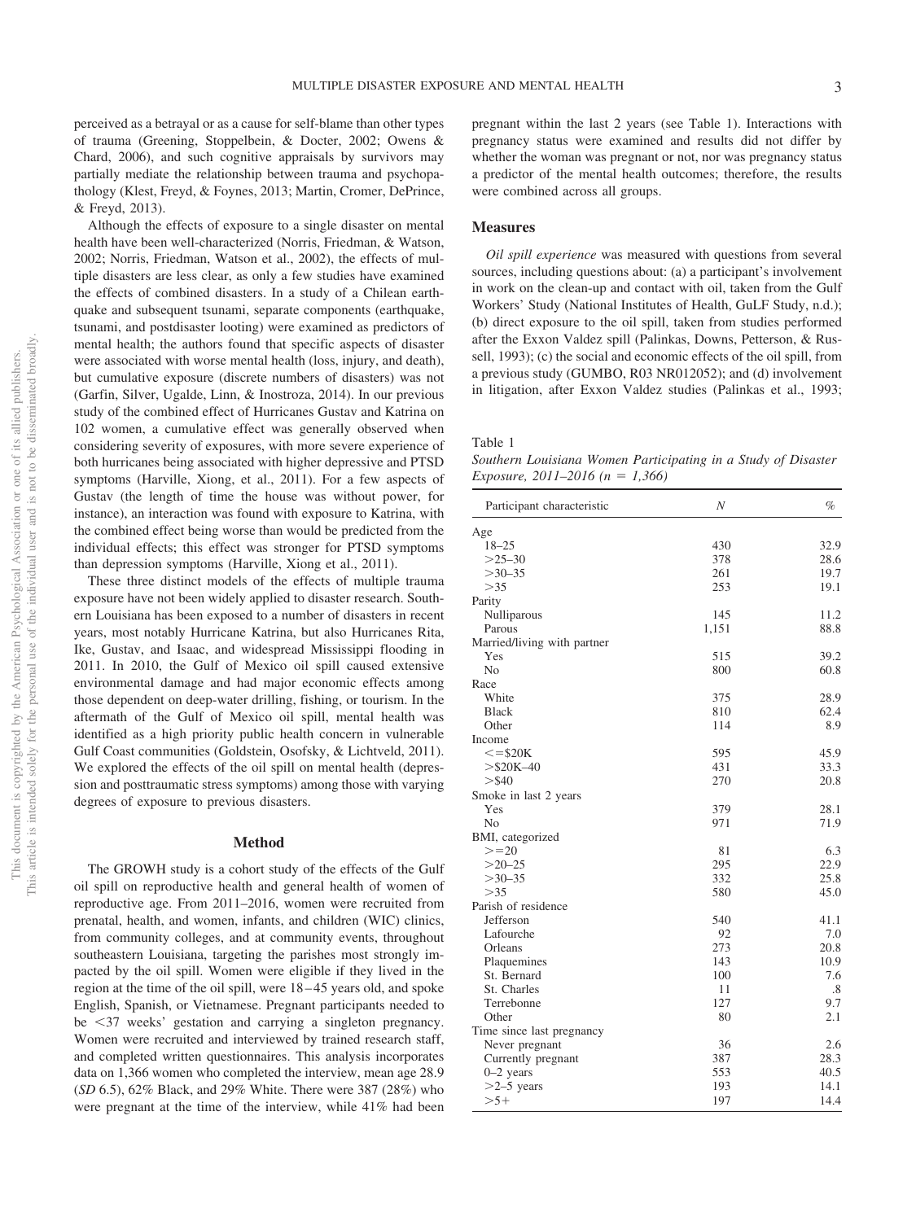perceived as a betrayal or as a cause for self-blame than other types of trauma (Greening, Stoppelbein, & Docter, 2002; Owens & Chard, 2006), and such cognitive appraisals by survivors may partially mediate the relationship between trauma and psychopathology (Klest, Freyd, & Foynes, 2013; Martin, Cromer, DePrince, & Freyd, 2013).

Although the effects of exposure to a single disaster on mental health have been well-characterized (Norris, Friedman, & Watson, 2002; Norris, Friedman, Watson et al., 2002), the effects of multiple disasters are less clear, as only a few studies have examined the effects of combined disasters. In a study of a Chilean earthquake and subsequent tsunami, separate components (earthquake, tsunami, and postdisaster looting) were examined as predictors of mental health; the authors found that specific aspects of disaster were associated with worse mental health (loss, injury, and death), but cumulative exposure (discrete numbers of disasters) was not (Garfin, Silver, Ugalde, Linn, & Inostroza, 2014). In our previous study of the combined effect of Hurricanes Gustav and Katrina on 102 women, a cumulative effect was generally observed when considering severity of exposures, with more severe experience of both hurricanes being associated with higher depressive and PTSD symptoms (Harville, Xiong, et al., 2011). For a few aspects of Gustav (the length of time the house was without power, for instance), an interaction was found with exposure to Katrina, with the combined effect being worse than would be predicted from the individual effects; this effect was stronger for PTSD symptoms than depression symptoms (Harville, Xiong et al., 2011).

These three distinct models of the effects of multiple trauma exposure have not been widely applied to disaster research. Southern Louisiana has been exposed to a number of disasters in recent years, most notably Hurricane Katrina, but also Hurricanes Rita, Ike, Gustav, and Isaac, and widespread Mississippi flooding in 2011. In 2010, the Gulf of Mexico oil spill caused extensive environmental damage and had major economic effects among those dependent on deep-water drilling, fishing, or tourism. In the aftermath of the Gulf of Mexico oil spill, mental health was identified as a high priority public health concern in vulnerable Gulf Coast communities (Goldstein, Osofsky, & Lichtveld, 2011). We explored the effects of the oil spill on mental health (depression and posttraumatic stress symptoms) among those with varying degrees of exposure to previous disasters.

#### **Method**

The GROWH study is a cohort study of the effects of the Gulf oil spill on reproductive health and general health of women of reproductive age. From 2011–2016, women were recruited from prenatal, health, and women, infants, and children (WIC) clinics, from community colleges, and at community events, throughout southeastern Louisiana, targeting the parishes most strongly impacted by the oil spill. Women were eligible if they lived in the region at the time of the oil spill, were 18 – 45 years old, and spoke English, Spanish, or Vietnamese. Pregnant participants needed to be -37 weeks' gestation and carrying a singleton pregnancy. Women were recruited and interviewed by trained research staff, and completed written questionnaires. This analysis incorporates data on 1,366 women who completed the interview, mean age 28.9 (*SD* 6.5), 62% Black, and 29% White. There were 387 (28%) who were pregnant at the time of the interview, while 41% had been pregnant within the last 2 years (see Table 1). Interactions with pregnancy status were examined and results did not differ by whether the woman was pregnant or not, nor was pregnancy status a predictor of the mental health outcomes; therefore, the results were combined across all groups.

#### **Measures**

*Oil spill experience* was measured with questions from several sources, including questions about: (a) a participant's involvement in work on the clean-up and contact with oil, taken from the Gulf Workers' Study (National Institutes of Health, GuLF Study, n.d.); (b) direct exposure to the oil spill, taken from studies performed after the Exxon Valdez spill (Palinkas, Downs, Petterson, & Russell, 1993); (c) the social and economic effects of the oil spill, from a previous study (GUMBO, R03 NR012052); and (d) involvement in litigation, after Exxon Valdez studies (Palinkas et al., 1993;

Table 1

*Southern Louisiana Women Participating in a Study of Disaster Exposure, 2011–2016 (n 1,366)*

| Participant characteristic  | N     | $\%$ |
|-----------------------------|-------|------|
| Age                         |       |      |
| $18 - 25$                   | 430   | 32.9 |
| $>25-30$                    | 378   | 28.6 |
| $>30-35$                    | 261   | 19.7 |
| >35                         | 253   | 19.1 |
| Parity                      |       |      |
| Nulliparous                 | 145   | 11.2 |
| Parous                      | 1,151 | 88.8 |
| Married/living with partner |       |      |
| Yes                         | 515   | 39.2 |
| N <sub>o</sub>              | 800   | 60.8 |
| Race                        |       |      |
| White                       | 375   | 28.9 |
| <b>Black</b>                | 810   | 62.4 |
| Other                       | 114   | 8.9  |
| Income                      |       |      |
| $\le$ = \$20K               | 595   | 45.9 |
| $>$ \$20K-40                | 431   | 33.3 |
| $>$ \$40                    | 270   | 20.8 |
| Smoke in last 2 years       |       |      |
| Yes                         | 379   | 28.1 |
| N <sub>0</sub>              | 971   | 71.9 |
| BMI, categorized            |       |      |
| $>=20$                      | 81    | 6.3  |
| $>20 - 25$                  | 295   | 22.9 |
| $>30-35$                    | 332   | 25.8 |
| >35                         | 580   | 45.0 |
| Parish of residence         |       |      |
| Jefferson                   | 540   | 41.1 |
| Lafourche                   | 92    | 7.0  |
| Orleans                     | 273   | 20.8 |
| Plaquemines                 | 143   | 10.9 |
| St. Bernard                 | 100   | 7.6  |
| St. Charles                 | 11    | .8   |
| Terrebonne                  | 127   | 9.7  |
| Other                       | 80    | 2.1  |
| Time since last pregnancy   |       |      |
| Never pregnant              | 36    | 2.6  |
| Currently pregnant          | 387   | 28.3 |
| $0-2$ years                 | 553   | 40.5 |
| $>2-5$ years                | 193   | 14.1 |
| $>5+$                       | 197   | 14.4 |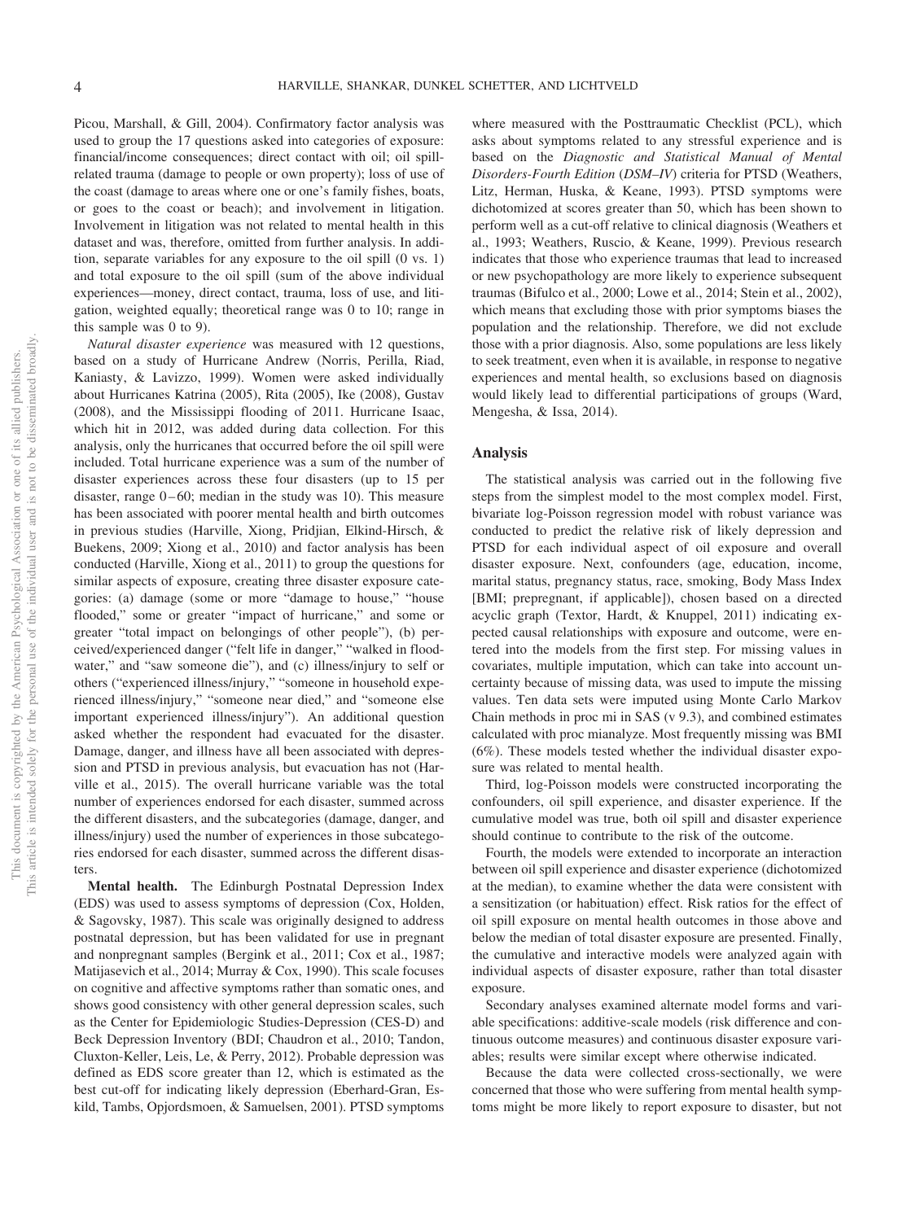Picou, Marshall, & Gill, 2004). Confirmatory factor analysis was used to group the 17 questions asked into categories of exposure: financial/income consequences; direct contact with oil; oil spillrelated trauma (damage to people or own property); loss of use of the coast (damage to areas where one or one's family fishes, boats, or goes to the coast or beach); and involvement in litigation. Involvement in litigation was not related to mental health in this dataset and was, therefore, omitted from further analysis. In addition, separate variables for any exposure to the oil spill (0 vs. 1) and total exposure to the oil spill (sum of the above individual experiences—money, direct contact, trauma, loss of use, and litigation, weighted equally; theoretical range was 0 to 10; range in this sample was 0 to 9).

*Natural disaster experience* was measured with 12 questions, based on a study of Hurricane Andrew (Norris, Perilla, Riad, Kaniasty, & Lavizzo, 1999). Women were asked individually about Hurricanes Katrina (2005), Rita (2005), Ike (2008), Gustav (2008), and the Mississippi flooding of 2011. Hurricane Isaac, which hit in 2012, was added during data collection. For this analysis, only the hurricanes that occurred before the oil spill were included. Total hurricane experience was a sum of the number of disaster experiences across these four disasters (up to 15 per disaster, range  $0 - 60$ ; median in the study was 10). This measure has been associated with poorer mental health and birth outcomes in previous studies (Harville, Xiong, Pridjian, Elkind-Hirsch, & Buekens, 2009; [Xiong et al., 2010\)](#page-10-2) and factor analysis has been conducted (Harville, Xiong et al., 2011) to group the questions for similar aspects of exposure, creating three disaster exposure categories: (a) damage (some or more "damage to house," "house flooded," some or greater "impact of hurricane," and some or greater "total impact on belongings of other people"), (b) perceived/experienced danger ("felt life in danger," "walked in floodwater," and "saw someone die"), and (c) illness/injury to self or others ("experienced illness/injury," "someone in household experienced illness/injury," "someone near died," and "someone else important experienced illness/injury"). An additional question asked whether the respondent had evacuated for the disaster. Damage, danger, and illness have all been associated with depression and PTSD in previous analysis, but evacuation has not (Harville et al., 2015). The overall hurricane variable was the total number of experiences endorsed for each disaster, summed across the different disasters, and the subcategories (damage, danger, and illness/injury) used the number of experiences in those subcategories endorsed for each disaster, summed across the different disasters.

**Mental health.** The Edinburgh Postnatal Depression Index (EDS) was used to assess symptoms of depression (Cox, Holden, & Sagovsky, 1987). This scale was originally designed to address postnatal depression, but has been validated for use in pregnant and nonpregnant samples (Bergink et al., 2011; Cox et al., 1987; Matijasevich et al., 2014; Murray & Cox, 1990). This scale focuses on cognitive and affective symptoms rather than somatic ones, and shows good consistency with other general depression scales, such as the Center for Epidemiologic Studies-Depression (CES-D) and Beck Depression Inventory (BDI; Chaudron et al., 2010; Tandon, Cluxton-Keller, Leis, Le, & Perry, 2012). Probable depression was defined as EDS score greater than 12, which is estimated as the best cut-off for indicating likely depression (Eberhard-Gran, Eskild, Tambs, Opjordsmoen, & Samuelsen, 2001). PTSD symptoms

where measured with the Posttraumatic Checklist (PCL), which asks about symptoms related to any stressful experience and is based on the *Diagnostic and Statistical Manual of Mental Disorders-Fourth Edition* (*DSM–IV*) criteria for PTSD (Weathers, Litz, Herman, Huska, & Keane, 1993). PTSD symptoms were dichotomized at scores greater than 50, which has been shown to perform well as a cut-off relative to clinical diagnosis (Weathers et al., 1993; Weathers, Ruscio, & Keane, 1999). Previous research indicates that those who experience traumas that lead to increased or new psychopathology are more likely to experience subsequent traumas (Bifulco et al., 2000; Lowe et al., 2014; Stein et al., 2002), which means that excluding those with prior symptoms biases the population and the relationship. Therefore, we did not exclude those with a prior diagnosis. Also, some populations are less likely to seek treatment, even when it is available, in response to negative experiences and mental health, so exclusions based on diagnosis would likely lead to differential participations of groups [\(Ward,](#page-10-3) [Mengesha, & Issa, 2014\)](#page-10-3).

#### **Analysis**

The statistical analysis was carried out in the following five steps from the simplest model to the most complex model. First, bivariate log-Poisson regression model with robust variance was conducted to predict the relative risk of likely depression and PTSD for each individual aspect of oil exposure and overall disaster exposure. Next, confounders (age, education, income, marital status, pregnancy status, race, smoking, Body Mass Index [BMI; prepregnant, if applicable]), chosen based on a directed acyclic graph (Textor, Hardt, & Knuppel, 2011) indicating expected causal relationships with exposure and outcome, were entered into the models from the first step. For missing values in covariates, multiple imputation, which can take into account uncertainty because of missing data, was used to impute the missing values. Ten data sets were imputed using Monte Carlo Markov Chain methods in proc mi in SAS (v 9.3), and combined estimates calculated with proc mianalyze. Most frequently missing was BMI (6%). These models tested whether the individual disaster exposure was related to mental health.

Third, log-Poisson models were constructed incorporating the confounders, oil spill experience, and disaster experience. If the cumulative model was true, both oil spill and disaster experience should continue to contribute to the risk of the outcome.

Fourth, the models were extended to incorporate an interaction between oil spill experience and disaster experience (dichotomized at the median), to examine whether the data were consistent with a sensitization (or habituation) effect. Risk ratios for the effect of oil spill exposure on mental health outcomes in those above and below the median of total disaster exposure are presented. Finally, the cumulative and interactive models were analyzed again with individual aspects of disaster exposure, rather than total disaster exposure.

Secondary analyses examined alternate model forms and variable specifications: additive-scale models (risk difference and continuous outcome measures) and continuous disaster exposure variables; results were similar except where otherwise indicated.

Because the data were collected cross-sectionally, we were concerned that those who were suffering from mental health symptoms might be more likely to report exposure to disaster, but not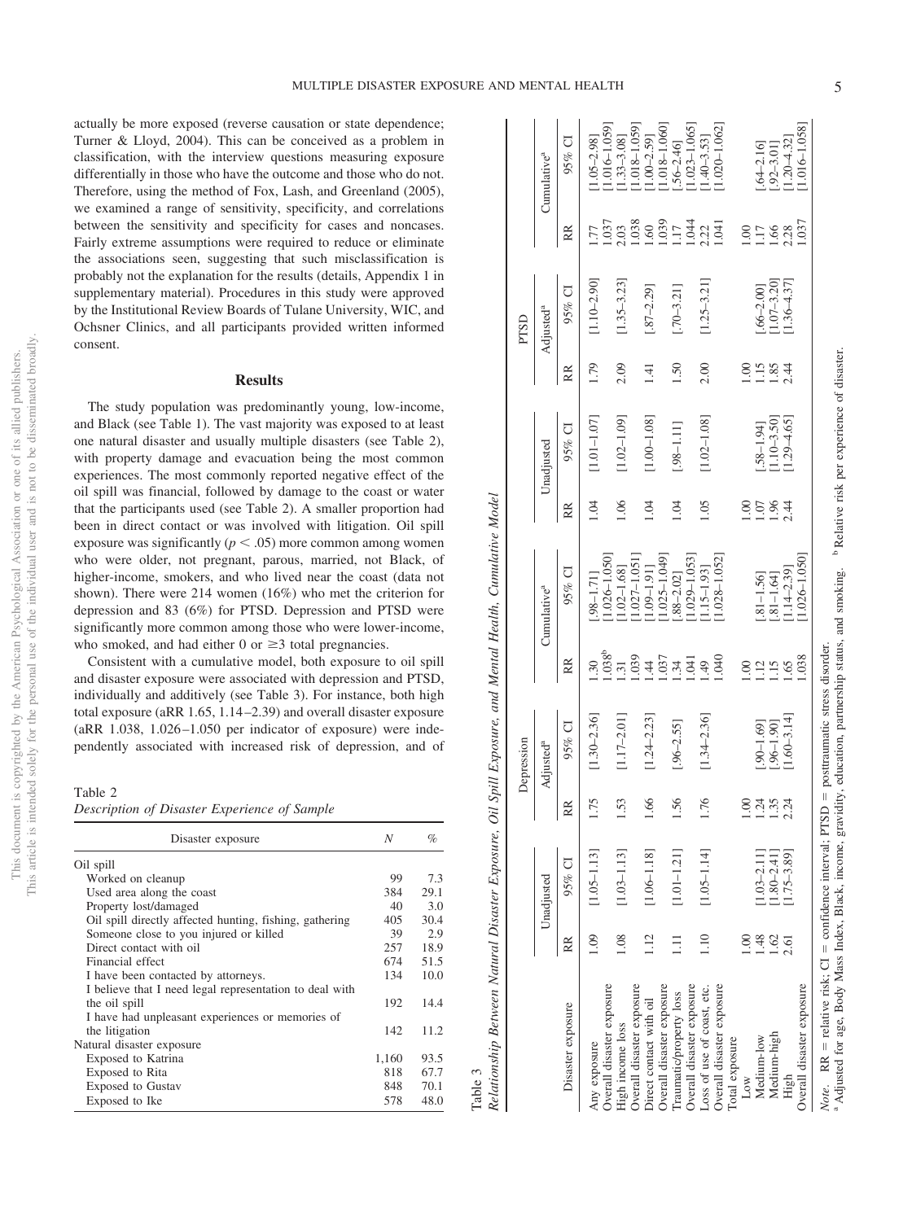actually be more exposed (reverse causation or state dependence; Turner & Lloyd, 2004). This can be conceived as a problem in classification, with the interview questions measuring exposure differentially in those who have the outcome and those who do not. Therefore, using the method of Fox, Lash, and Greenland (2005), we examined a range of sensitivity, specificity, and correlations between the sensitivity and specificity for cases and noncases. Fairly extreme assumptions were required to reduce or eliminate the associations seen, suggesting that such misclassification is probably not the explanation for the results (details, Appendix 1 in supplementary material). Procedures in this study were approved by the Institutional Review Boards of Tulane University, WIC, and Ochsner Clinics, and all participants provided written informed consent.

#### **Results**

The study population was predominantly young, low-income, and Black (see Table 1). The vast majority was exposed to at least one natural disaster and usually multiple disasters (see Table 2), with property damage and evacuation being the most common experiences. The most commonly reported negative effect of the oil spill was financial, followed by damage to the coast or water that the participants used (see Table 2). A smaller proportion had been in direct contact or was involved with litigation. Oil spill exposure was significantly  $(p < .05)$  more common among women who were older, not pregnant, parous, married, not Black, of higher-income, smokers, and who lived near the coast (data not shown). There were 214 women (16%) who met the criterion for depression and 83 (6%) for PTSD. Depression and PTSD were significantly more common among those who were lower-income, who smoked, and had either  $0$  or  $\geq 3$  total pregnancies.

Consistent with a cumulative model, both exposure to oil spill and disaster exposure were associated with depression and PTSD, individually and additively (see Table 3). For instance, both high total exposure (aRR 1.65, 1.14 –2.39) and overall disaster exposure  $(aRR$  1.038, 1.026-1.050 per indicator of exposure) were independently associated with increased risk of depression, and of

#### Table 2

| Description of Disaster Experience of Sample |  |  |  |  |  |
|----------------------------------------------|--|--|--|--|--|
|----------------------------------------------|--|--|--|--|--|

| Disaster exposure                                       | N     | %    |
|---------------------------------------------------------|-------|------|
| Oil spill                                               |       |      |
| Worked on cleanup                                       | 99    | 7.3  |
| Used area along the coast                               | 384   | 29.1 |
| Property lost/damaged                                   | 40    | 3.0  |
| Oil spill directly affected hunting, fishing, gathering | 405   | 30.4 |
| Someone close to you injured or killed                  | 39    | 2.9  |
| Direct contact with oil                                 | 257   | 18.9 |
| Financial effect                                        | 674   | 51.5 |
| I have been contacted by attorneys.                     | 134   | 10.0 |
| I believe that I need legal representation to deal with |       |      |
| the oil spill                                           | 192   | 14.4 |
| I have had unpleasant experiences or memories of        |       |      |
| the litigation                                          | 142   | 11.2 |
| Natural disaster exposure                               |       |      |
| Exposed to Katrina                                      | 1,160 | 93.5 |
| Exposed to Rita                                         | 818   | 67.7 |
| <b>Exposed to Gustav</b>                                | 848   | 70.1 |
| Exposed to Ike                                          | 578   | 48.0 |

|        | j                                                              |
|--------|----------------------------------------------------------------|
|        | ï                                                              |
|        |                                                                |
|        | $O_{ij}^{ij}$ Spill Expansion and $M_{\alpha\nu}$<br>in menden |
|        | .                                                              |
|        | ;<br>;<br>;<br>n m<br>くんじょう コントランド<br>I                        |
|        | l<br>֖֚֡֬֝֬֝֬                                                  |
|        | .<br>.                                                         |
|        | į                                                              |
| ¢<br>I | $\sim$ $\sim$<br>š<br>ſ                                        |

|                                                                                                                                                                                                                                                                                     |              |                                  |                | Depression                      |                               |                                                     |             |                                |                  | PTSD                           |                        |                                                       |
|-------------------------------------------------------------------------------------------------------------------------------------------------------------------------------------------------------------------------------------------------------------------------------------|--------------|----------------------------------|----------------|---------------------------------|-------------------------------|-----------------------------------------------------|-------------|--------------------------------|------------------|--------------------------------|------------------------|-------------------------------------------------------|
|                                                                                                                                                                                                                                                                                     |              | Unadjusted                       | $\mathsf I$    | Adjusted <sup>a</sup>           |                               | Cumulative <sup>a</sup>                             |             | Unadjusted                     |                  | Adjusted <sup>a</sup>          |                        | Cumulative <sup>a</sup>                               |
| Disaster exposure                                                                                                                                                                                                                                                                   | RR           | $95\%$ CI                        | RR             | $95%$ CI                        | RR                            | 95% CI                                              | RR          | $95%$ CI                       | RR               | $95%$ CI                       | RR                     | $95%$ CI                                              |
| Any exposure                                                                                                                                                                                                                                                                        | 1.09         | $[1.05 - 1.13]$                  | .75            | $1.30 - 2.36$ ]                 | $\overline{.30}$              | $.98 - 1.71$                                        | 1.04        | $1.01 - 1.07$ ]                | 1.79             | $1.10 - 2.90$ ]                |                        | $1.05 - 2.98$ ]                                       |
| Overall disaster exposure<br>High income loss                                                                                                                                                                                                                                       | 1.08         | $[1.03 - 1.13]$                  | 53             | $1.17 - 2.01$ ]                 | $1.038^{b}$<br>$\frac{31}{2}$ | $1.026 - 1.050$<br>$1.02 - 1.68$ ]                  | 1.06        | $1.02 - 1.09$ ]                | 2.09             | $1.35 - 3.23$                  | .037<br>2.03           | $1.016 - 1.059$<br>$1.33 - 3.08$ ]                    |
| Overall disaster exposure<br>Direct contact with oil                                                                                                                                                                                                                                | 1.12         | $[1.06 - 1.18]$                  | $\ddot{\circ}$ | $[1.24 - 2.23]$                 | 1.039<br>$\overline{4}$       | $1.027 - 1.051$<br>$1.09 - 1.91$ ]                  | $-0.1$      | $1.00 - 1.08$ ]                | $\overline{141}$ | $-.87 - 2.29$ ]                | .038<br>09.1           | 1.018-1.059]<br>$1.00 - 2.59$ ]                       |
| Overall disaster exposure<br>Traumatic/property loss                                                                                                                                                                                                                                | Ξ            | $[1.01 - 1.21]$                  | 56             | $-.96 - 2.55$                   | 1.037<br>1.34                 | $1.025 - 1.049$<br>88-2.02]                         | 1.04        | [11.11]                        | 1.50             | $[.70 - 3.21]$                 | 0.039<br>117           | 1.018-1.060]<br>$.56 - 2.46$                          |
| Overall disaster exposure<br>Overall disaster exposure<br>Loss of use of coast, etc.                                                                                                                                                                                                | 1.10         | $[1.05 - 1.14]$                  | .76            | $[1.34 - 2.36]$                 | 1.040<br>1.041<br>$-49$       | $1.028 - 1.052$<br>$1.029 - 1.053$<br>$1.15 - 1.93$ | 1.05        | $1.02 - 1.08$ ]                | 2.00             | $[1.25 - 3.21]$                | 0.044<br>1.041<br>2.22 | $1.020 - 1.062$<br>$1.023 - 1.065$<br>$1.40 - 3.53$ ] |
| Total exposure<br>Low                                                                                                                                                                                                                                                               |              |                                  | $\odot$        |                                 | $\overline{0}$                |                                                     | S           |                                |                  |                                | $00_{.1}$              |                                                       |
| Medium-low                                                                                                                                                                                                                                                                          | 1.48         | $1.03 - 2.11$                    | 35             | $.90 - 1.69$ ]                  | 1.12                          | $.81 - 1.56$                                        | $-0.07$     | $.58 - 1.94$                   | $\frac{5}{1}$    | $.66 - 2.00$ ]                 | 117                    | $.64 - 2.16$                                          |
| Medium-high<br>High                                                                                                                                                                                                                                                                 | 1.62<br>2.61 | $1.75 - 3.89$ ]<br>$1.80 - 2.41$ | 2.24           | $1.60 - 3.14$ ]<br>$.96 - 1.90$ | 1.65<br>1.15                  | $1.14 - 2.39$ ]<br>$.81 - 1.64$ ]                   | .96<br>2.44 | $1.10 - 3.50$<br>$1.29 - 4.65$ | 2.44<br>1.85     | $1.07 - 3.20$<br>$1.36 - 4.37$ | 2.28<br>1.66           | $1.20 - 4.32$<br>$.92 - 3.01$                         |
| Overall disaster exposure                                                                                                                                                                                                                                                           |              |                                  |                |                                 | 1.038                         | 1.026-1.050                                         |             |                                |                  |                                | 1.037                  | 1.016-1.058]                                          |
| <sup>a</sup> Adjusted for age, Body Mass Index, Black, income, gravidity, education, partnership status, and smoking. <sup>b</sup> Relative risk per experience of disaster.<br><i>Note</i> . RR = relative risk; $CI =$ confidence interval; PTSD = posttraumatic stress disorder. |              |                                  |                |                                 |                               |                                                     |             |                                |                  |                                |                        |                                                       |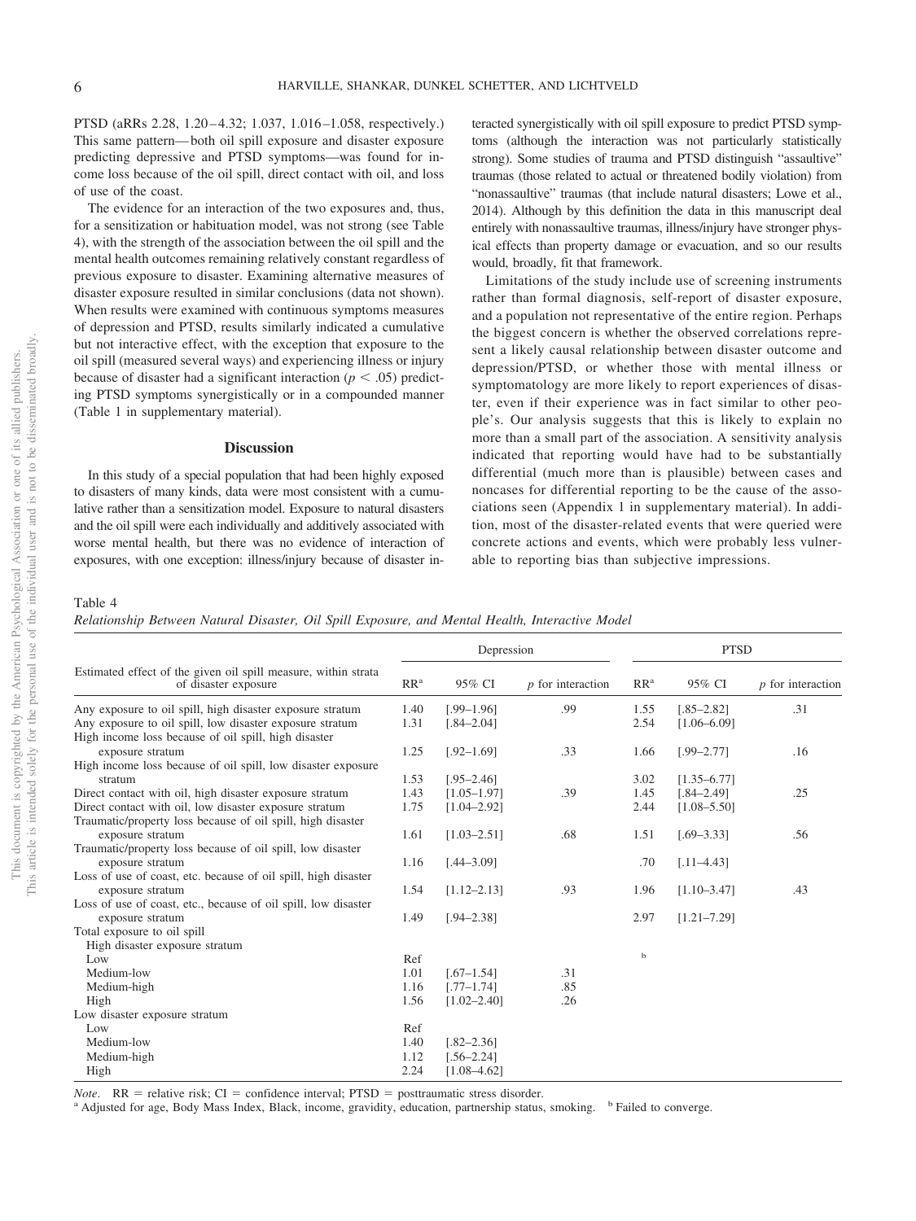PTSD (aRRs 2.28, 1.20–4.32; 1.037, 1.016–1.058, respectively.) This same pattern— both oil spill exposure and disaster exposure predicting depressive and PTSD symptoms—was found for income loss because of the oil spill, direct contact with oil, and loss of use of the coast.

The evidence for an interaction of the two exposures and, thus, for a sensitization or habituation model, was not strong (see [Table](#page-7-0) [4\)](#page-7-0), with the strength of the association between the oil spill and the mental health outcomes remaining relatively constant regardless of previous exposure to disaster. Examining alternative measures of disaster exposure resulted in similar conclusions (data not shown). When results were examined with continuous symptoms measures of depression and PTSD, results similarly indicated a cumulative but not interactive effect, with the exception that exposure to the oil spill (measured several ways) and experiencing illness or injury because of disaster had a significant interaction  $(p < .05)$  predicting PTSD symptoms synergistically or in a compounded manner (Table 1 in supplementary material).

#### **Discussion**

In this study of a special population that had been highly exposed to disasters of many kinds, data were most consistent with a cumulative rather than a sensitization model. Exposure to natural disasters and the oil spill were each individually and additively associated with worse mental health, but there was no evidence of interaction of exposures, with one exception: illness/injury because of disaster in-

teracted synergistically with oil spill exposure to predict PTSD symptoms (although the interaction was not particularly statistically strong). Some studies of trauma and PTSD distinguish "assaultive" traumas (those related to actual or threatened bodily violation) from "nonassaultive" traumas (that include natural disasters; Lowe et al., 2014). Although by this definition the data in this manuscript deal entirely with nonassaultive traumas, illness/injury have stronger physical effects than property damage or evacuation, and so our results would, broadly, fit that framework.

Limitations of the study include use of screening instruments rather than formal diagnosis, self-report of disaster exposure, and a population not representative of the entire region. Perhaps the biggest concern is whether the observed correlations represent a likely causal relationship between disaster outcome and depression/PTSD, or whether those with mental illness or symptomatology are more likely to report experiences of disaster, even if their experience was in fact similar to other people's. Our analysis suggests that this is likely to explain no more than a small part of the association. A sensitivity analysis indicated that reporting would have had to be substantially differential (much more than is plausible) between cases and noncases for differential reporting to be the cause of the associations seen (Appendix 1 in supplementary material). In addition, most of the disaster-related events that were queried were concrete actions and events, which were probably less vulnerable to reporting bias than subjective impressions.

### <span id="page-7-0"></span>Table 4

*Relationship Between Natural Disaster, Oil Spill Exposure, and Mental Health, Interactive Model*

|                                                                                        |                 | Depression      |                     |                 | <b>PTSD</b>     |                     |
|----------------------------------------------------------------------------------------|-----------------|-----------------|---------------------|-----------------|-----------------|---------------------|
| Estimated effect of the given oil spill measure, within strata<br>of disaster exposure | RR <sup>a</sup> | 95% CI          | $p$ for interaction | RR <sup>a</sup> | 95% CI          | $p$ for interaction |
| Any exposure to oil spill, high disaster exposure stratum                              | 1.40            | $[.99-1.96]$    | .99                 | 1.55            | $[.85 - 2.82]$  | .31                 |
| Any exposure to oil spill, low disaster exposure stratum                               | 1.31            | $[.84 - 2.04]$  |                     | 2.54            | $[1.06 - 6.09]$ |                     |
| High income loss because of oil spill, high disaster                                   |                 |                 |                     |                 |                 |                     |
| exposure stratum                                                                       | 1.25            | $[.92 - 1.69]$  | .33                 | 1.66            | $[.99 - 2.77]$  | .16                 |
| High income loss because of oil spill, low disaster exposure                           |                 |                 |                     |                 |                 |                     |
| stratum                                                                                | 1.53            | $[.95 - 2.46]$  |                     | 3.02            | $[1.35 - 6.77]$ |                     |
| Direct contact with oil, high disaster exposure stratum                                | 1.43            | $[1.05 - 1.97]$ | .39                 | 1.45            | $[.84 - 2.49]$  | .25                 |
| Direct contact with oil, low disaster exposure stratum                                 | 1.75            | $[1.04 - 2.92]$ |                     | 2.44            | $[1.08 - 5.50]$ |                     |
| Traumatic/property loss because of oil spill, high disaster                            |                 |                 |                     |                 |                 |                     |
| exposure stratum                                                                       | 1.61            | $[1.03 - 2.51]$ | .68                 | 1.51            | $[.69 - 3.33]$  | .56                 |
| Traumatic/property loss because of oil spill, low disaster                             |                 |                 |                     |                 |                 |                     |
| exposure stratum                                                                       | 1.16            | $[.44 - 3.09]$  |                     | .70             | $[.11 - 4.43]$  |                     |
| Loss of use of coast, etc. because of oil spill, high disaster                         |                 |                 |                     |                 |                 |                     |
| exposure stratum                                                                       | 1.54            | $[1.12 - 2.13]$ | .93                 | 1.96            | $[1.10 - 3.47]$ | .43                 |
| Loss of use of coast, etc., because of oil spill, low disaster                         |                 |                 |                     |                 |                 |                     |
| exposure stratum                                                                       | 1.49            | $[.94 - 2.38]$  |                     | 2.97            | $[1.21 - 7.29]$ |                     |
| Total exposure to oil spill                                                            |                 |                 |                     |                 |                 |                     |
| High disaster exposure stratum                                                         |                 |                 |                     |                 |                 |                     |
| Low                                                                                    | Ref             |                 |                     | $\mathbf b$     |                 |                     |
| Medium-low                                                                             | 1.01            | $[.67-1.54]$    | .31                 |                 |                 |                     |
| Medium-high                                                                            | 1.16            | $[.77 - 1.74]$  | .85                 |                 |                 |                     |
| High                                                                                   | 1.56            | $[1.02 - 2.40]$ | .26                 |                 |                 |                     |
| Low disaster exposure stratum                                                          |                 |                 |                     |                 |                 |                     |
| Low                                                                                    | Ref             |                 |                     |                 |                 |                     |
| Medium-low                                                                             | 1.40            | $[.82 - 2.36]$  |                     |                 |                 |                     |
| Medium-high                                                                            | 1.12            | $56 - 2.24$     |                     |                 |                 |                     |
| High                                                                                   | 2.24            | $[1.08 - 4.62]$ |                     |                 |                 |                     |

*Note*. RR = relative risk; CI = confidence interval; PTSD = posttraumatic stress disorder.<br><sup>a</sup> Adjusted for age, Body Mass Index, Black, income, gravidity, education, partnership status, smoking. <sup>b</sup> Failed to converge.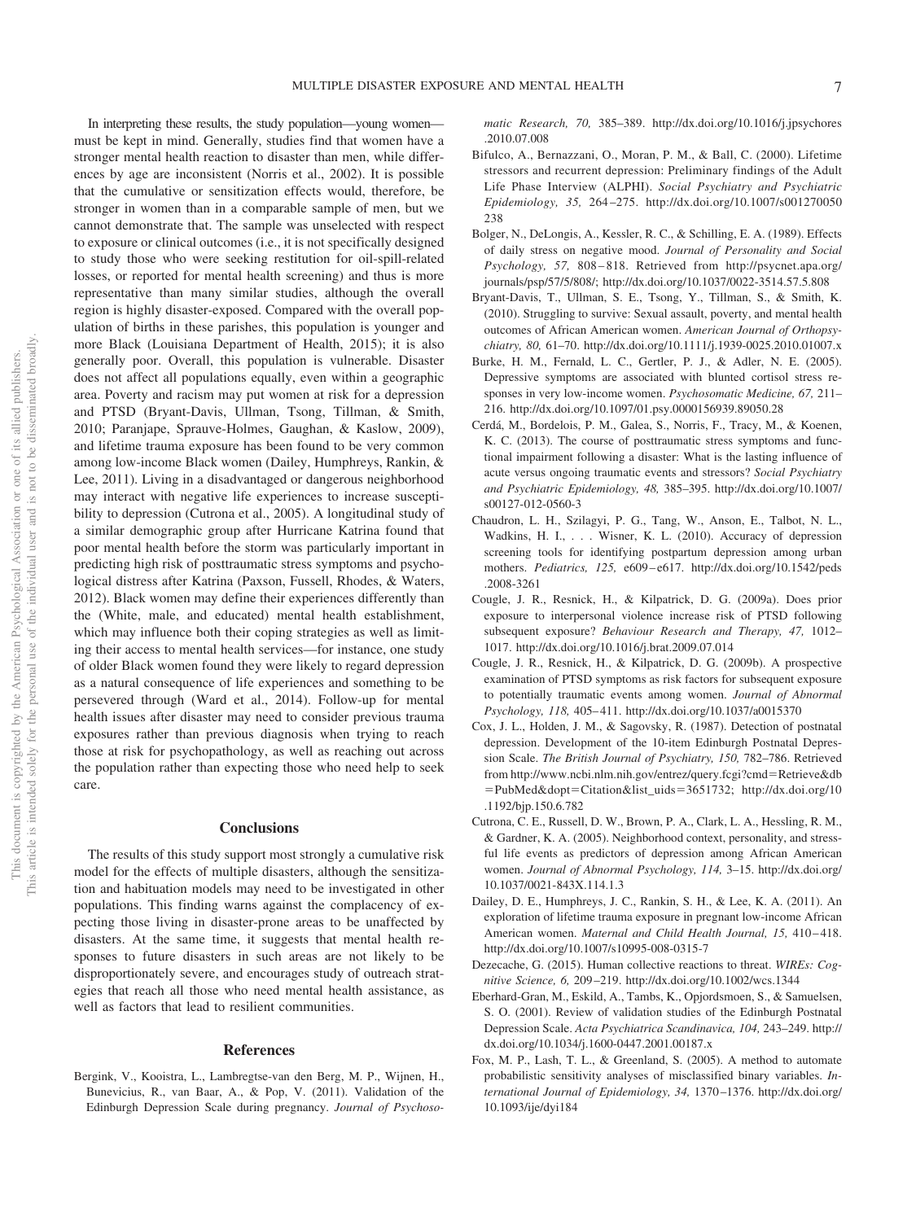In interpreting these results, the study population—young women must be kept in mind. Generally, studies find that women have a stronger mental health reaction to disaster than men, while differences by age are inconsistent (Norris et al., 2002). It is possible that the cumulative or sensitization effects would, therefore, be stronger in women than in a comparable sample of men, but we cannot demonstrate that. The sample was unselected with respect to exposure or clinical outcomes (i.e., it is not specifically designed to study those who were seeking restitution for oil-spill-related losses, or reported for mental health screening) and thus is more representative than many similar studies, although the overall region is highly disaster-exposed. Compared with the overall population of births in these parishes, this population is younger and more Black (Louisiana Department of Health, 2015); it is also generally poor. Overall, this population is vulnerable. Disaster does not affect all populations equally, even within a geographic area. Poverty and racism may put women at risk for a depression and PTSD (Bryant-Davis, Ullman, Tsong, Tillman, & Smith, 2010; Paranjape, Sprauve-Holmes, Gaughan, & Kaslow, 2009), and lifetime trauma exposure has been found to be very common among low-income Black women (Dailey, Humphreys, Rankin, & Lee, 2011). Living in a disadvantaged or dangerous neighborhood may interact with negative life experiences to increase susceptibility to depression (Cutrona et al., 2005). A longitudinal study of a similar demographic group after Hurricane Katrina found that poor mental health before the storm was particularly important in predicting high risk of posttraumatic stress symptoms and psychological distress after Katrina (Paxson, Fussell, Rhodes, & Waters, 2012). Black women may define their experiences differently than the (White, male, and educated) mental health establishment, which may influence both their coping strategies as well as limiting their access to mental health services—for instance, one study of older Black women found they were likely to regard depression as a natural consequence of life experiences and something to be persevered through [\(Ward et al., 2014\)](#page-10-3). Follow-up for mental health issues after disaster may need to consider previous trauma exposures rather than previous diagnosis when trying to reach those at risk for psychopathology, as well as reaching out across the population rather than expecting those who need help to seek care.

#### **Conclusions**

The results of this study support most strongly a cumulative risk model for the effects of multiple disasters, although the sensitization and habituation models may need to be investigated in other populations. This finding warns against the complacency of expecting those living in disaster-prone areas to be unaffected by disasters. At the same time, it suggests that mental health responses to future disasters in such areas are not likely to be disproportionately severe, and encourages study of outreach strategies that reach all those who need mental health assistance, as well as factors that lead to resilient communities.

#### **References**

Bergink, V., Kooistra, L., Lambregtse-van den Berg, M. P., Wijnen, H., Bunevicius, R., van Baar, A., & Pop, V. (2011). Validation of the Edinburgh Depression Scale during pregnancy. *Journal of Psychoso-* *matic Research, 70,* 385–389. [http://dx.doi.org/10.1016/j.jpsychores](http://dx.doi.org/10.1016/j.jpsychores.2010.07.008) [.2010.07.008](http://dx.doi.org/10.1016/j.jpsychores.2010.07.008)

- Bifulco, A., Bernazzani, O., Moran, P. M., & Ball, C. (2000). Lifetime stressors and recurrent depression: Preliminary findings of the Adult Life Phase Interview (ALPHI). *Social Psychiatry and Psychiatric Epidemiology, 35,* 264 –275. [http://dx.doi.org/10.1007/s001270050](http://dx.doi.org/10.1007/s001270050238) [238](http://dx.doi.org/10.1007/s001270050238)
- Bolger, N., DeLongis, A., Kessler, R. C., & Schilling, E. A. (1989). Effects of daily stress on negative mood. *Journal of Personality and Social Psychology, 57,* 808 – 818. Retrieved from [http://psycnet.apa.org/](http://psycnet.apa.org/journals/psp/57/5/808/) [journals/psp/57/5/808/;](http://psycnet.apa.org/journals/psp/57/5/808/)<http://dx.doi.org/10.1037/0022-3514.57.5.808>
- Bryant-Davis, T., Ullman, S. E., Tsong, Y., Tillman, S., & Smith, K. (2010). Struggling to survive: Sexual assault, poverty, and mental health outcomes of African American women. *American Journal of Orthopsychiatry, 80,* 61–70.<http://dx.doi.org/10.1111/j.1939-0025.2010.01007.x>
- Burke, H. M., Fernald, L. C., Gertler, P. J., & Adler, N. E. (2005). Depressive symptoms are associated with blunted cortisol stress responses in very low-income women. *Psychosomatic Medicine, 67,* 211– 216.<http://dx.doi.org/10.1097/01.psy.0000156939.89050.28>
- Cerdá, M., Bordelois, P. M., Galea, S., Norris, F., Tracy, M., & Koenen, K. C. (2013). The course of posttraumatic stress symptoms and functional impairment following a disaster: What is the lasting influence of acute versus ongoing traumatic events and stressors? *Social Psychiatry and Psychiatric Epidemiology, 48,* 385–395. [http://dx.doi.org/10.1007/](http://dx.doi.org/10.1007/s00127-012-0560-3) [s00127-012-0560-3](http://dx.doi.org/10.1007/s00127-012-0560-3)
- Chaudron, L. H., Szilagyi, P. G., Tang, W., Anson, E., Talbot, N. L., Wadkins, H. I., ... Wisner, K. L. (2010). Accuracy of depression screening tools for identifying postpartum depression among urban mothers. *Pediatrics, 125,* e609 – e617. [http://dx.doi.org/10.1542/peds](http://dx.doi.org/10.1542/peds.2008-3261) [.2008-3261](http://dx.doi.org/10.1542/peds.2008-3261)
- Cougle, J. R., Resnick, H., & Kilpatrick, D. G. (2009a). Does prior exposure to interpersonal violence increase risk of PTSD following subsequent exposure? *Behaviour Research and Therapy, 47,* 1012– 1017.<http://dx.doi.org/10.1016/j.brat.2009.07.014>
- Cougle, J. R., Resnick, H., & Kilpatrick, D. G. (2009b). A prospective examination of PTSD symptoms as risk factors for subsequent exposure to potentially traumatic events among women. *Journal of Abnormal Psychology, 118,* 405– 411.<http://dx.doi.org/10.1037/a0015370>
- Cox, J. L., Holden, J. M., & Sagovsky, R. (1987). Detection of postnatal depression. Development of the 10-item Edinburgh Postnatal Depression Scale. *The British Journal of Psychiatry, 150,* 782–786. Retrieved from [http://www.ncbi.nlm.nih.gov/entrez/query.fcgi?cmd](http://www.ncbi.nlm.nih.gov/entrez/query.fcgi?cmd=Retrieve&db=PubMed&dopt=Citation&list_uids=3651732)=Retrieve&db =PubMed&dopt=[Citation&list\\_uids](http://www.ncbi.nlm.nih.gov/entrez/query.fcgi?cmd=Retrieve&db=PubMed&dopt=Citation&list_uids=3651732)=3651732; [http://dx.doi.org/10](http://dx.doi.org/10.1192/bjp.150.6.782) [.1192/bjp.150.6.782](http://dx.doi.org/10.1192/bjp.150.6.782)
- Cutrona, C. E., Russell, D. W., Brown, P. A., Clark, L. A., Hessling, R. M., & Gardner, K. A. (2005). Neighborhood context, personality, and stressful life events as predictors of depression among African American women. *Journal of Abnormal Psychology, 114,* 3–15. [http://dx.doi.org/](http://dx.doi.org/10.1037/0021-843X.114.1.3) [10.1037/0021-843X.114.1.3](http://dx.doi.org/10.1037/0021-843X.114.1.3)
- Dailey, D. E., Humphreys, J. C., Rankin, S. H., & Lee, K. A. (2011). An exploration of lifetime trauma exposure in pregnant low-income African American women. *Maternal and Child Health Journal*, 15, 410-418. <http://dx.doi.org/10.1007/s10995-008-0315-7>
- Dezecache, G. (2015). Human collective reactions to threat. *WIREs: Cognitive Science, 6,* 209 –219.<http://dx.doi.org/10.1002/wcs.1344>
- Eberhard-Gran, M., Eskild, A., Tambs, K., Opjordsmoen, S., & Samuelsen, S. O. (2001). Review of validation studies of the Edinburgh Postnatal Depression Scale. *Acta Psychiatrica Scandinavica, 104,* 243–249. [http://](http://dx.doi.org/10.1034/j.1600-0447.2001.00187.x) [dx.doi.org/10.1034/j.1600-0447.2001.00187.x](http://dx.doi.org/10.1034/j.1600-0447.2001.00187.x)
- Fox, M. P., Lash, T. L., & Greenland, S. (2005). A method to automate probabilistic sensitivity analyses of misclassified binary variables. *International Journal of Epidemiology, 34,* 1370 –1376. [http://dx.doi.org/](http://dx.doi.org/10.1093/ije/dyi184) [10.1093/ije/dyi184](http://dx.doi.org/10.1093/ije/dyi184)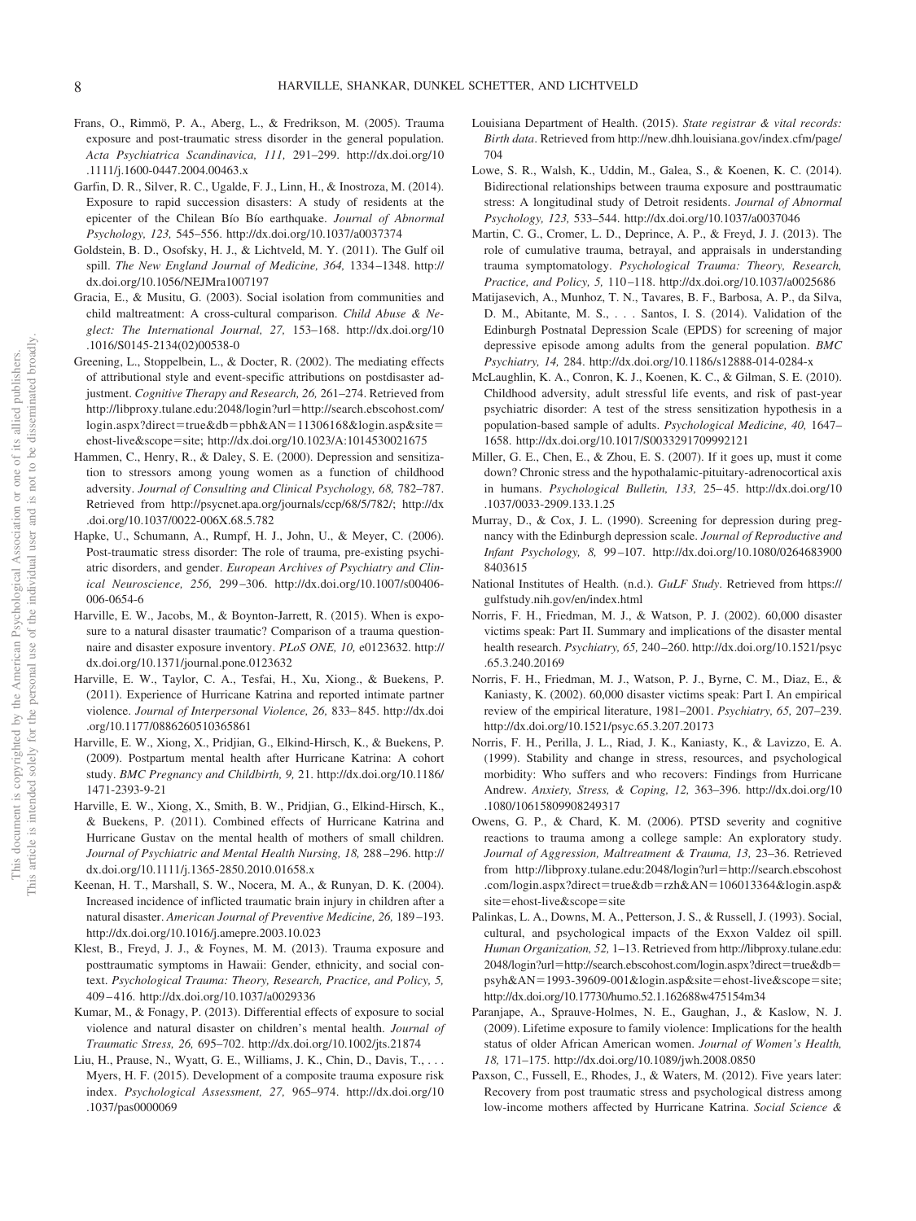- Frans, O., Rimmö, P. A., Aberg, L., & Fredrikson, M. (2005). Trauma exposure and post-traumatic stress disorder in the general population. *Acta Psychiatrica Scandinavica, 111,* 291–299. [http://dx.doi.org/10](http://dx.doi.org/10.1111/j.1600-0447.2004.00463.x) [.1111/j.1600-0447.2004.00463.x](http://dx.doi.org/10.1111/j.1600-0447.2004.00463.x)
- Garfin, D. R., Silver, R. C., Ugalde, F. J., Linn, H., & Inostroza, M. (2014). Exposure to rapid succession disasters: A study of residents at the epicenter of the Chilean Bío Bío earthquake. *Journal of Abnormal Psychology, 123,* 545–556.<http://dx.doi.org/10.1037/a0037374>
- Goldstein, B. D., Osofsky, H. J., & Lichtveld, M. Y. (2011). The Gulf oil spill. *The New England Journal of Medicine, 364,* 1334 –1348. [http://](http://dx.doi.org/10.1056/NEJMra1007197) [dx.doi.org/10.1056/NEJMra1007197](http://dx.doi.org/10.1056/NEJMra1007197)
- Gracia, E., & Musitu, G. (2003). Social isolation from communities and child maltreatment: A cross-cultural comparison. *Child Abuse & Neglect: The International Journal, 27,* 153–168. [http://dx.doi.org/10](http://dx.doi.org/10.1016/S0145-2134%2802%2900538-0) [.1016/S0145-2134\(02\)00538-0](http://dx.doi.org/10.1016/S0145-2134%2802%2900538-0)
- Greening, L., Stoppelbein, L., & Docter, R. (2002). The mediating effects of attributional style and event-specific attributions on postdisaster adjustment. *Cognitive Therapy and Research, 26,* 261–274. Retrieved from [http://libproxy.tulane.edu:2048/login?url](http://libproxy.tulane.edu:2048/login?url=http://search.ebscohost.com/login.aspx?direct=true&db=pbh&AN=11306168&login.asp&site=ehost-live&scope=site)=http://search.ebscohost.com/ login.aspx?direct=true&db=pbh&AN=[11306168&login.asp&site](http://libproxy.tulane.edu:2048/login?url=http://search.ebscohost.com/login.aspx?direct=true&db=pbh&AN=11306168&login.asp&site=ehost-live&scope=site)= [ehost-live&scope](http://libproxy.tulane.edu:2048/login?url=http://search.ebscohost.com/login.aspx?direct=true&db=pbh&AN=11306168&login.asp&site=ehost-live&scope=site)=site;<http://dx.doi.org/10.1023/A:1014530021675>
- Hammen, C., Henry, R., & Daley, S. E. (2000). Depression and sensitization to stressors among young women as a function of childhood adversity. *Journal of Consulting and Clinical Psychology, 68,* 782–787. Retrieved from [http://psycnet.apa.org/journals/ccp/68/5/782/;](http://psycnet.apa.org/journals/ccp/68/5/782/) [http://dx](http://dx.doi.org/10.1037/0022-006X.68.5.782) [.doi.org/10.1037/0022-006X.68.5.782](http://dx.doi.org/10.1037/0022-006X.68.5.782)
- Hapke, U., Schumann, A., Rumpf, H. J., John, U., & Meyer, C. (2006). Post-traumatic stress disorder: The role of trauma, pre-existing psychiatric disorders, and gender. *European Archives of Psychiatry and Clinical Neuroscience, 256,* 299 –306. [http://dx.doi.org/10.1007/s00406-](http://dx.doi.org/10.1007/s00406-006-0654-6) [006-0654-6](http://dx.doi.org/10.1007/s00406-006-0654-6)
- Harville, E. W., Jacobs, M., & Boynton-Jarrett, R. (2015). When is exposure to a natural disaster traumatic? Comparison of a trauma questionnaire and disaster exposure inventory. *PLoS ONE, 10,* e0123632. [http://](http://dx.doi.org/10.1371/journal.pone.0123632) [dx.doi.org/10.1371/journal.pone.0123632](http://dx.doi.org/10.1371/journal.pone.0123632)
- Harville, E. W., Taylor, C. A., Tesfai, H., Xu, Xiong., & Buekens, P. (2011). Experience of Hurricane Katrina and reported intimate partner violence. *Journal of Interpersonal Violence, 26,* 833– 845. [http://dx.doi](http://dx.doi.org/10.1177/0886260510365861) [.org/10.1177/0886260510365861](http://dx.doi.org/10.1177/0886260510365861)
- Harville, E. W., Xiong, X., Pridjian, G., Elkind-Hirsch, K., & Buekens, P. (2009). Postpartum mental health after Hurricane Katrina: A cohort study. *BMC Pregnancy and Childbirth, 9,* 21. [http://dx.doi.org/10.1186/](http://dx.doi.org/10.1186/1471-2393-9-21) [1471-2393-9-21](http://dx.doi.org/10.1186/1471-2393-9-21)
- Harville, E. W., Xiong, X., Smith, B. W., Pridjian, G., Elkind-Hirsch, K., & Buekens, P. (2011). Combined effects of Hurricane Katrina and Hurricane Gustav on the mental health of mothers of small children. *Journal of Psychiatric and Mental Health Nursing, 18,* 288 –296. [http://](http://dx.doi.org/10.1111/j.1365-2850.2010.01658.x) [dx.doi.org/10.1111/j.1365-2850.2010.01658.x](http://dx.doi.org/10.1111/j.1365-2850.2010.01658.x)
- Keenan, H. T., Marshall, S. W., Nocera, M. A., & Runyan, D. K. (2004). Increased incidence of inflicted traumatic brain injury in children after a natural disaster. *American Journal of Preventive Medicine, 26,* 189 –193. <http://dx.doi.org/10.1016/j.amepre.2003.10.023>
- Klest, B., Freyd, J. J., & Foynes, M. M. (2013). Trauma exposure and posttraumatic symptoms in Hawaii: Gender, ethnicity, and social context. *Psychological Trauma: Theory, Research, Practice, and Policy, 5,* 409 – 416.<http://dx.doi.org/10.1037/a0029336>
- Kumar, M., & Fonagy, P. (2013). Differential effects of exposure to social violence and natural disaster on children's mental health. *Journal of Traumatic Stress, 26,* 695–702.<http://dx.doi.org/10.1002/jts.21874>
- Liu, H., Prause, N., Wyatt, G. E., Williams, J. K., Chin, D., Davis, T.,... Myers, H. F. (2015). Development of a composite trauma exposure risk index. *Psychological Assessment, 27,* 965–974. [http://dx.doi.org/10](http://dx.doi.org/10.1037/pas0000069) [.1037/pas0000069](http://dx.doi.org/10.1037/pas0000069)
- Louisiana Department of Health. (2015). *State registrar & vital records: Birth data*. Retrieved from [http://new.dhh.louisiana.gov/index.cfm/page/](http://new.dhh.louisiana.gov/index.cfm/page/704) [704](http://new.dhh.louisiana.gov/index.cfm/page/704)
- Lowe, S. R., Walsh, K., Uddin, M., Galea, S., & Koenen, K. C. (2014). Bidirectional relationships between trauma exposure and posttraumatic stress: A longitudinal study of Detroit residents. *Journal of Abnormal Psychology, 123,* 533–544.<http://dx.doi.org/10.1037/a0037046>
- Martin, C. G., Cromer, L. D., Deprince, A. P., & Freyd, J. J. (2013). The role of cumulative trauma, betrayal, and appraisals in understanding trauma symptomatology. *Psychological Trauma: Theory, Research, Practice, and Policy, 5,* 110 –118.<http://dx.doi.org/10.1037/a0025686>
- Matijasevich, A., Munhoz, T. N., Tavares, B. F., Barbosa, A. P., da Silva, D. M., Abitante, M. S.,... Santos, I. S. (2014). Validation of the Edinburgh Postnatal Depression Scale (EPDS) for screening of major depressive episode among adults from the general population. *BMC Psychiatry, 14,* 284.<http://dx.doi.org/10.1186/s12888-014-0284-x>
- McLaughlin, K. A., Conron, K. J., Koenen, K. C., & Gilman, S. E. (2010). Childhood adversity, adult stressful life events, and risk of past-year psychiatric disorder: A test of the stress sensitization hypothesis in a population-based sample of adults. *Psychological Medicine, 40,* 1647– 1658.<http://dx.doi.org/10.1017/S0033291709992121>
- Miller, G. E., Chen, E., & Zhou, E. S. (2007). If it goes up, must it come down? Chronic stress and the hypothalamic-pituitary-adrenocortical axis in humans. *Psychological Bulletin, 133,* 25– 45. [http://dx.doi.org/10](http://dx.doi.org/10.1037/0033-2909.133.1.25) [.1037/0033-2909.133.1.25](http://dx.doi.org/10.1037/0033-2909.133.1.25)
- Murray, D., & Cox, J. L. (1990). Screening for depression during pregnancy with the Edinburgh depression scale. *Journal of Reproductive and Infant Psychology, 8,* 99 –107. [http://dx.doi.org/10.1080/0264683900](http://dx.doi.org/10.1080/02646839008403615) [8403615](http://dx.doi.org/10.1080/02646839008403615)
- National Institutes of Health. (n.d.). *GuLF Study*. Retrieved from [https://](https://gulfstudy.nih.gov/en/index.html) [gulfstudy.nih.gov/en/index.html](https://gulfstudy.nih.gov/en/index.html)
- Norris, F. H., Friedman, M. J., & Watson, P. J. (2002). 60,000 disaster victims speak: Part II. Summary and implications of the disaster mental health research. *Psychiatry, 65,* 240 –260. [http://dx.doi.org/10.1521/psyc](http://dx.doi.org/10.1521/psyc.65.3.240.20169) [.65.3.240.20169](http://dx.doi.org/10.1521/psyc.65.3.240.20169)
- Norris, F. H., Friedman, M. J., Watson, P. J., Byrne, C. M., Diaz, E., & Kaniasty, K. (2002). 60,000 disaster victims speak: Part I. An empirical review of the empirical literature, 1981–2001. *Psychiatry, 65,* 207–239. <http://dx.doi.org/10.1521/psyc.65.3.207.20173>
- Norris, F. H., Perilla, J. L., Riad, J. K., Kaniasty, K., & Lavizzo, E. A. (1999). Stability and change in stress, resources, and psychological morbidity: Who suffers and who recovers: Findings from Hurricane Andrew. *Anxiety, Stress, & Coping, 12,* 363–396. [http://dx.doi.org/10](http://dx.doi.org/10.1080/10615809908249317) [.1080/10615809908249317](http://dx.doi.org/10.1080/10615809908249317)
- Owens, G. P., & Chard, K. M. (2006). PTSD severity and cognitive reactions to trauma among a college sample: An exploratory study. *Journal of Aggression, Maltreatment & Trauma, 13,* 23–36. Retrieved from [http://libproxy.tulane.edu:2048/login?url](http://libproxy.tulane.edu:2048/login?url=http://search.ebscohost.com/login.aspx?direct=true&db=rzh&AN=106013364&login.asp&site=ehost-live&scope=site)=http://search.ebscohost .com/login.aspx?direct=true&db=rzh&AN=[106013364&login.asp&](http://libproxy.tulane.edu:2048/login?url=http://search.ebscohost.com/login.aspx?direct=true&db=rzh&AN=106013364&login.asp&site=ehost-live&scope=site) site=[ehost-live&scope](http://libproxy.tulane.edu:2048/login?url=http://search.ebscohost.com/login.aspx?direct=true&db=rzh&AN=106013364&login.asp&site=ehost-live&scope=site)=site
- Palinkas, L. A., Downs, M. A., Petterson, J. S., & Russell, J. (1993). Social, cultural, and psychological impacts of the Exxon Valdez oil spill. *Human Organization, 52,* 1–13. Retrieved from [http://libproxy.tulane.edu:](http://libproxy.tulane.edu:2048/login?url=http://search.ebscohost.com/login.aspx?direct=true&db=psyh&AN=1993-39609-001&login.asp&site=ehost-live&scope=site) 2048/login?url=[http://search.ebscohost.com/login.aspx?direct](http://libproxy.tulane.edu:2048/login?url=http://search.ebscohost.com/login.aspx?direct=true&db=psyh&AN=1993-39609-001&login.asp&site=ehost-live&scope=site)=true&db= psyh&AN=[1993-39609-001&login.asp&site](http://libproxy.tulane.edu:2048/login?url=http://search.ebscohost.com/login.aspx?direct=true&db=psyh&AN=1993-39609-001&login.asp&site=ehost-live&scope=site)=ehost-live&scope=site; <http://dx.doi.org/10.17730/humo.52.1.162688w475154m34>
- Paranjape, A., Sprauve-Holmes, N. E., Gaughan, J., & Kaslow, N. J. (2009). Lifetime exposure to family violence: Implications for the health status of older African American women. *Journal of Women's Health, 18,* 171–175.<http://dx.doi.org/10.1089/jwh.2008.0850>
- Paxson, C., Fussell, E., Rhodes, J., & Waters, M. (2012). Five years later: Recovery from post traumatic stress and psychological distress among low-income mothers affected by Hurricane Katrina. *Social Science &*